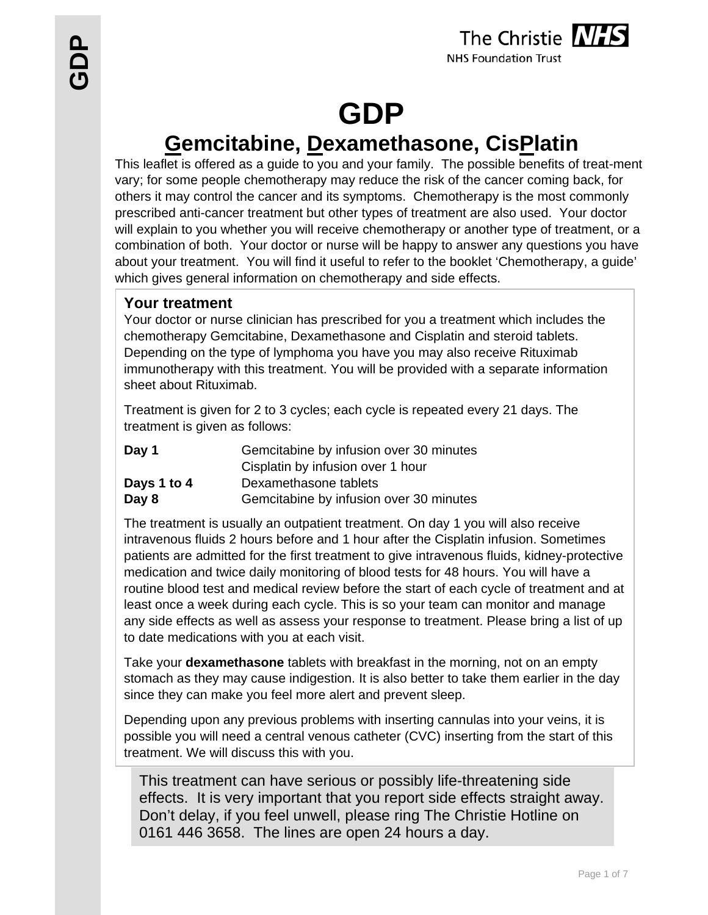

# **GDP**

## **Gemcitabine, Dexamethasone, CisPlatin**

This leaflet is offered as a guide to you and your family. The possible benefits of treat-ment vary; for some people chemotherapy may reduce the risk of the cancer coming back, for others it may control the cancer and its symptoms. Chemotherapy is the most commonly prescribed anti-cancer treatment but other types of treatment are also used. Your doctor will explain to you whether you will receive chemotherapy or another type of treatment, or a combination of both. Your doctor or nurse will be happy to answer any questions you have about your treatment. You will find it useful to refer to the booklet 'Chemotherapy, a guide' which gives general information on chemotherapy and side effects.

#### **Your treatment**

Your doctor or nurse clinician has prescribed for you a treatment which includes the chemotherapy Gemcitabine, Dexamethasone and Cisplatin and steroid tablets. Depending on the type of lymphoma you have you may also receive Rituximab immunotherapy with this treatment. You will be provided with a separate information sheet about Rituximab.

Treatment is given for 2 to 3 cycles; each cycle is repeated every 21 days. The treatment is given as follows:

| Day 1       | Gemcitabine by infusion over 30 minutes |  |
|-------------|-----------------------------------------|--|
|             | Cisplatin by infusion over 1 hour       |  |
| Days 1 to 4 | Dexamethasone tablets                   |  |
| Day 8       | Gemcitabine by infusion over 30 minutes |  |

The treatment is usually an outpatient treatment. On day 1 you will also receive intravenous fluids 2 hours before and 1 hour after the Cisplatin infusion. Sometimes patients are admitted for the first treatment to give intravenous fluids, kidney-protective medication and twice daily monitoring of blood tests for 48 hours. You will have a routine blood test and medical review before the start of each cycle of treatment and at least once a week during each cycle. This is so your team can monitor and manage any side effects as well as assess your response to treatment. Please bring a list of up to date medications with you at each visit.

Take your **dexamethasone** tablets with breakfast in the morning, not on an empty stomach as they may cause indigestion. It is also better to take them earlier in the day since they can make you feel more alert and prevent sleep.

Depending upon any previous problems with inserting cannulas into your veins, it is possible you will need a central venous catheter (CVC) inserting from the start of this treatment. We will discuss this with you.

This treatment can have serious or possibly life-threatening side effects. It is very important that you report side effects straight away. Don't delay, if you feel unwell, please ring The Christie Hotline on 0161 446 3658. The lines are open 24 hours a day.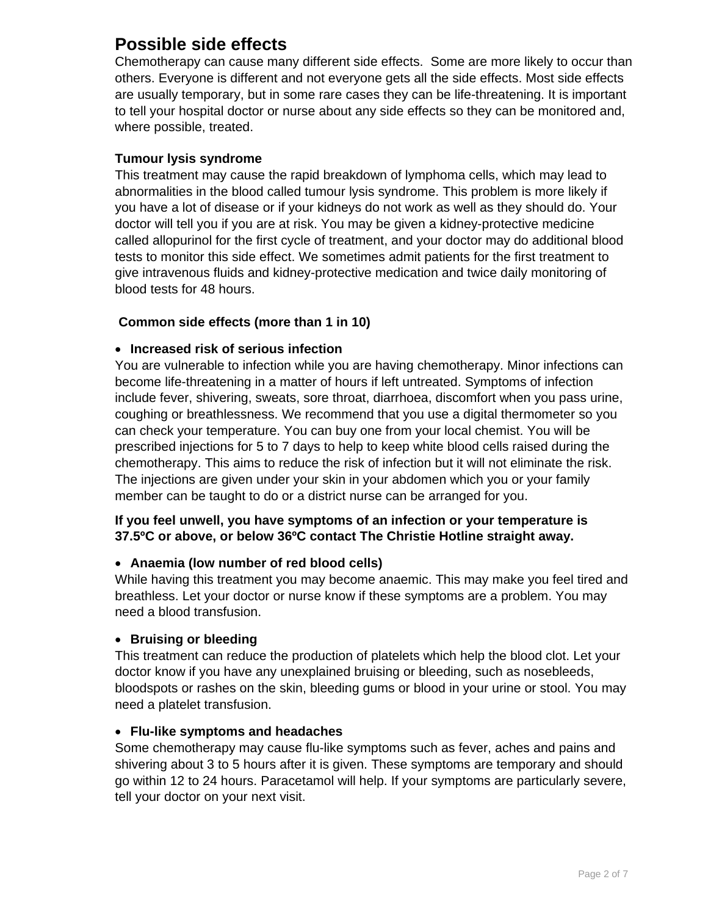## **Possible side effects**

Chemotherapy can cause many different side effects. Some are more likely to occur than others. Everyone is different and not everyone gets all the side effects. Most side effects are usually temporary, but in some rare cases they can be life-threatening. It is important to tell your hospital doctor or nurse about any side effects so they can be monitored and, where possible, treated.

#### **Tumour lysis syndrome**

This treatment may cause the rapid breakdown of lymphoma cells, which may lead to abnormalities in the blood called tumour lysis syndrome. This problem is more likely if you have a lot of disease or if your kidneys do not work as well as they should do. Your doctor will tell you if you are at risk. You may be given a kidney-protective medicine called allopurinol for the first cycle of treatment, and your doctor may do additional blood tests to monitor this side effect. We sometimes admit patients for the first treatment to give intravenous fluids and kidney-protective medication and twice daily monitoring of blood tests for 48 hours.

#### **Common side effects (more than 1 in 10)**

#### **Increased risk of serious infection**

You are vulnerable to infection while you are having chemotherapy. Minor infections can become life-threatening in a matter of hours if left untreated. Symptoms of infection include fever, shivering, sweats, sore throat, diarrhoea, discomfort when you pass urine, coughing or breathlessness. We recommend that you use a digital thermometer so you can check your temperature. You can buy one from your local chemist. You will be prescribed injections for 5 to 7 days to help to keep white blood cells raised during the chemotherapy. This aims to reduce the risk of infection but it will not eliminate the risk. The injections are given under your skin in your abdomen which you or your family member can be taught to do or a district nurse can be arranged for you.

#### **If you feel unwell, you have symptoms of an infection or your temperature is 37.5ºC or above, or below 36ºC contact The Christie Hotline straight away.**

#### **Anaemia (low number of red blood cells)**

While having this treatment you may become anaemic. This may make you feel tired and breathless. Let your doctor or nurse know if these symptoms are a problem. You may need a blood transfusion.

#### **Bruising or bleeding**

This treatment can reduce the production of platelets which help the blood clot. Let your doctor know if you have any unexplained bruising or bleeding, such as nosebleeds, bloodspots or rashes on the skin, bleeding gums or blood in your urine or stool. You may need a platelet transfusion.

#### **Flu-like symptoms and headaches**

Some chemotherapy may cause flu-like symptoms such as fever, aches and pains and shivering about 3 to 5 hours after it is given. These symptoms are temporary and should go within 12 to 24 hours. Paracetamol will help. If your symptoms are particularly severe, tell your doctor on your next visit.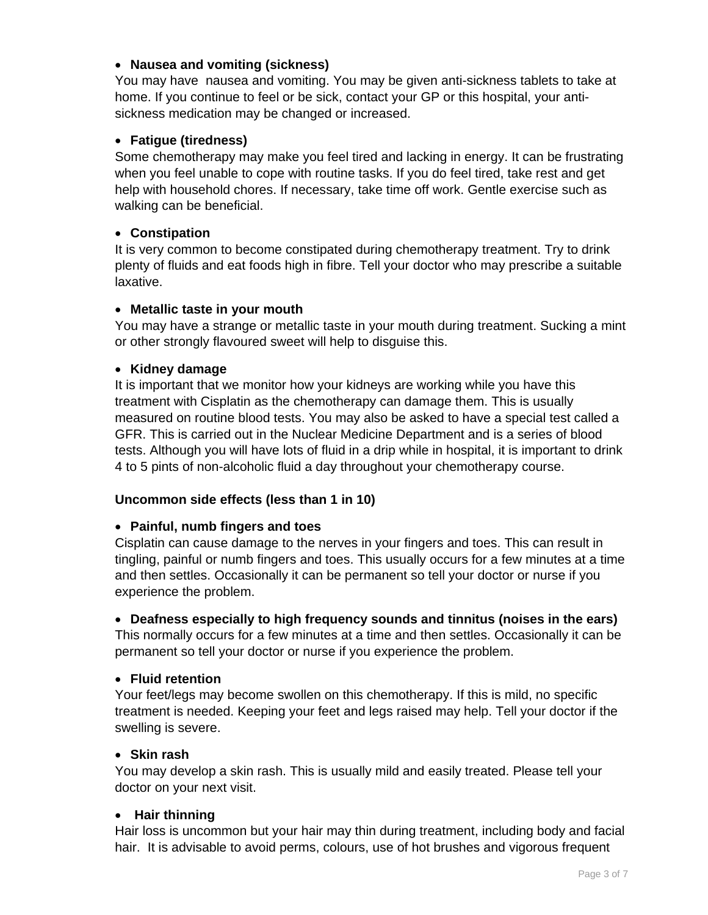#### **Nausea and vomiting (sickness)**

You may have nausea and vomiting. You may be given anti-sickness tablets to take at home. If you continue to feel or be sick, contact your GP or this hospital, your antisickness medication may be changed or increased.

#### **Fatigue (tiredness)**

Some chemotherapy may make you feel tired and lacking in energy. It can be frustrating when you feel unable to cope with routine tasks. If you do feel tired, take rest and get help with household chores. If necessary, take time off work. Gentle exercise such as walking can be beneficial.

#### **Constipation**

It is very common to become constipated during chemotherapy treatment. Try to drink plenty of fluids and eat foods high in fibre. Tell your doctor who may prescribe a suitable laxative.

#### **Metallic taste in your mouth**

You may have a strange or metallic taste in your mouth during treatment. Sucking a mint or other strongly flavoured sweet will help to disguise this.

#### **Kidney damage**

It is important that we monitor how your kidneys are working while you have this treatment with Cisplatin as the chemotherapy can damage them. This is usually measured on routine blood tests. You may also be asked to have a special test called a GFR. This is carried out in the Nuclear Medicine Department and is a series of blood tests. Although you will have lots of fluid in a drip while in hospital, it is important to drink 4 to 5 pints of non-alcoholic fluid a day throughout your chemotherapy course.

#### **Uncommon side effects (less than 1 in 10)**

#### **Painful, numb fingers and toes**

Cisplatin can cause damage to the nerves in your fingers and toes. This can result in tingling, painful or numb fingers and toes. This usually occurs for a few minutes at a time and then settles. Occasionally it can be permanent so tell your doctor or nurse if you experience the problem.

#### **Deafness especially to high frequency sounds and tinnitus (noises in the ears)**

This normally occurs for a few minutes at a time and then settles. Occasionally it can be permanent so tell your doctor or nurse if you experience the problem.

#### **Fluid retention**

Your feet/legs may become swollen on this chemotherapy. If this is mild, no specific treatment is needed. Keeping your feet and legs raised may help. Tell your doctor if the swelling is severe.

#### **Skin rash**

You may develop a skin rash. This is usually mild and easily treated. Please tell your doctor on your next visit.

#### **Hair thinning**

Hair loss is uncommon but your hair may thin during treatment, including body and facial hair. It is advisable to avoid perms, colours, use of hot brushes and vigorous frequent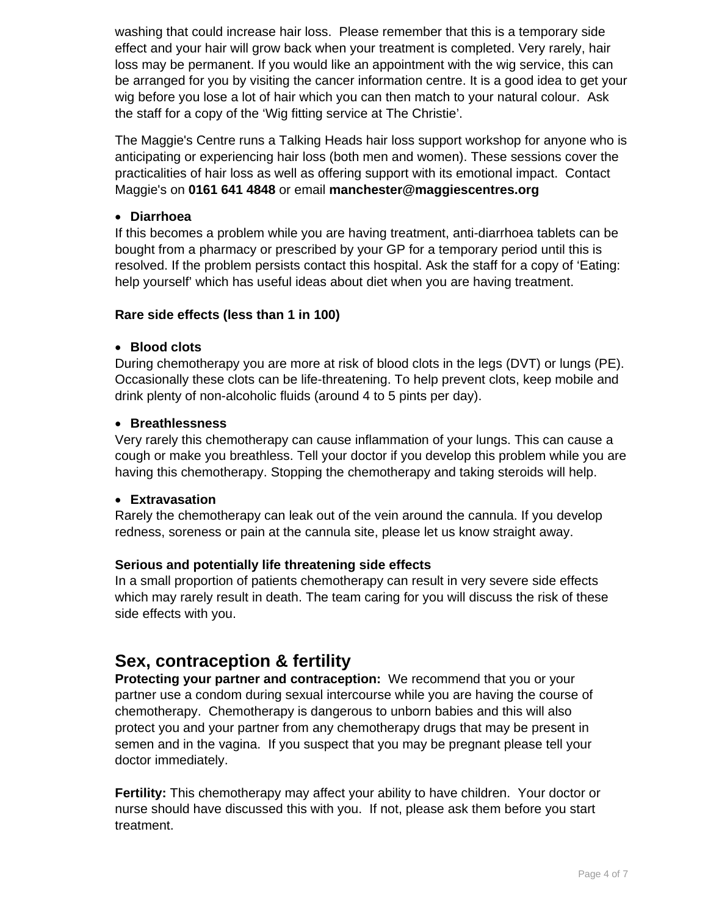washing that could increase hair loss. Please remember that this is a temporary side effect and your hair will grow back when your treatment is completed. Very rarely, hair loss may be permanent. If you would like an appointment with the wig service, this can be arranged for you by visiting the cancer information centre. It is a good idea to get your wig before you lose a lot of hair which you can then match to your natural colour. Ask the staff for a copy of the 'Wig fitting service at The Christie'.

The Maggie's Centre runs a Talking Heads hair loss support workshop for anyone who is anticipating or experiencing hair loss (both men and women). These sessions cover the practicalities of hair loss as well as offering support with its emotional impact. Contact Maggie's on **0161 641 4848** or email **manchester@maggiescentres.org**

#### **Diarrhoea**

If this becomes a problem while you are having treatment, anti-diarrhoea tablets can be bought from a pharmacy or prescribed by your GP for a temporary period until this is resolved. If the problem persists contact this hospital. Ask the staff for a copy of 'Eating: help yourself' which has useful ideas about diet when you are having treatment.

#### **Rare side effects (less than 1 in 100)**

#### **Blood clots**

During chemotherapy you are more at risk of blood clots in the legs (DVT) or lungs (PE). Occasionally these clots can be life-threatening. To help prevent clots, keep mobile and drink plenty of non-alcoholic fluids (around 4 to 5 pints per day).

#### **Breathlessness**

Very rarely this chemotherapy can cause inflammation of your lungs. This can cause a cough or make you breathless. Tell your doctor if you develop this problem while you are having this chemotherapy. Stopping the chemotherapy and taking steroids will help.

#### **Extravasation**

Rarely the chemotherapy can leak out of the vein around the cannula. If you develop redness, soreness or pain at the cannula site, please let us know straight away.

#### **Serious and potentially life threatening side effects**

In a small proportion of patients chemotherapy can result in very severe side effects which may rarely result in death. The team caring for you will discuss the risk of these side effects with you.

## **Sex, contraception & fertility**

**Protecting your partner and contraception:** We recommend that you or your partner use a condom during sexual intercourse while you are having the course of chemotherapy. Chemotherapy is dangerous to unborn babies and this will also protect you and your partner from any chemotherapy drugs that may be present in semen and in the vagina. If you suspect that you may be pregnant please tell your doctor immediately.

**Fertility:** This chemotherapy may affect your ability to have children. Your doctor or nurse should have discussed this with you. If not, please ask them before you start treatment.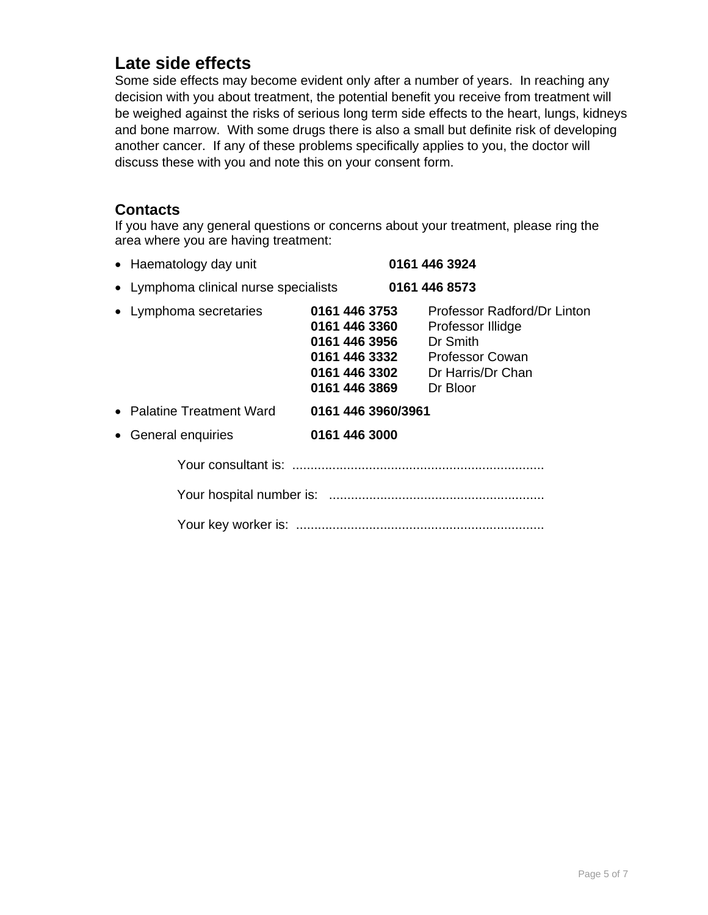## **Late side effects**

Some side effects may become evident only after a number of years. In reaching any decision with you about treatment, the potential benefit you receive from treatment will be weighed against the risks of serious long term side effects to the heart, lungs, kidneys and bone marrow. With some drugs there is also a small but definite risk of developing another cancer. If any of these problems specifically applies to you, the doctor will discuss these with you and note this on your consent form.

#### **Contacts**

If you have any general questions or concerns about your treatment, please ring the area where you are having treatment:

| • Haematology day unit                |                                                                  | 0161 446 3924                                                                                                                                       |
|---------------------------------------|------------------------------------------------------------------|-----------------------------------------------------------------------------------------------------------------------------------------------------|
| • Lymphoma clinical nurse specialists | 0161 446 8573                                                    |                                                                                                                                                     |
| • Lymphoma secretaries                | 0161 446 3753<br>0161 446 3360<br>0161 446 3956<br>0161 446 3869 | Professor Radford/Dr Linton<br>Professor Illidge<br>Dr Smith<br>0161 446 3332 Professor Cowan<br><b>0161 446 3302</b> Dr Harris/Dr Chan<br>Dr Bloor |
| • Palatine Treatment Ward             | 0161 446 3960/3961                                               |                                                                                                                                                     |
| • General enquiries                   | 0161 446 3000                                                    |                                                                                                                                                     |
|                                       |                                                                  |                                                                                                                                                     |
|                                       |                                                                  |                                                                                                                                                     |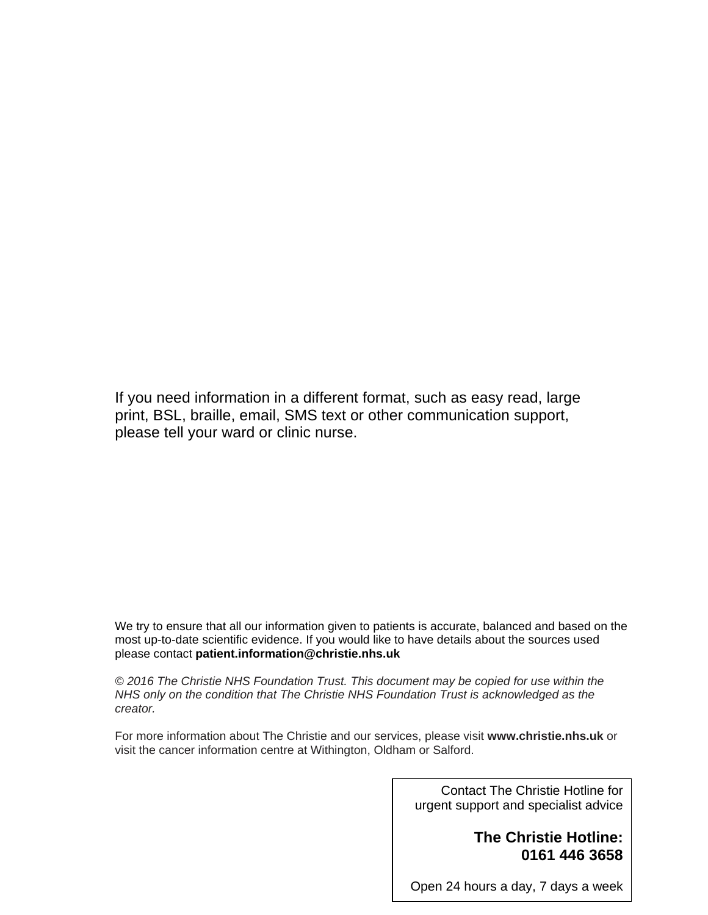If you need information in a different format, such as easy read, large print, BSL, braille, email, SMS text or other communication support, please tell your ward or clinic nurse.

We try to ensure that all our information given to patients is accurate, balanced and based on the most up-to-date scientific evidence. If you would like to have details about the sources used please contact **patient.information@christie.nhs.uk** 

*© 2016 The Christie NHS Foundation Trust. This document may be copied for use within the NHS only on the condition that The Christie NHS Foundation Trust is acknowledged as the creator.* 

For more information about The Christie and our services, please visit **www.christie.nhs.uk** or visit the cancer information centre at Withington, Oldham or Salford.

> Contact The Christie Hotline for urgent support and specialist advice

#### **The Christie Hotline: 0161 446 3658**

Page 6 of 7

Open 24 hours a day, 7 days a week